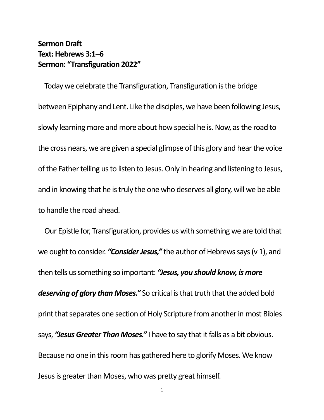## **Sermon Draft Text: Hebrews 3:1–6 Sermon: "Transfiguration 2022"**

Today we celebrate the Transfiguration, Transfiguration is the bridge between Epiphany and Lent. Like the disciples, we have been following Jesus, slowly learning more and more about how special he is. Now, as the road to the cross nears, we are given a special glimpse of this glory and hear the voice of the Father telling us to listen to Jesus. Only in hearing and listening to Jesus, and in knowing that he is truly the one who deserves all glory, will we be able to handle the road ahead.

Our Epistle for, Transfiguration, provides us with something we are told that we ought to consider. *"Consider Jesus,"* the author of Hebrews says (v 1), and then tells us something so important: *"Jesus, you should know, is more deserving of glory than Moses."* So critical is that truth that the added bold print that separates one section of Holy Scripture from another in most Bibles says, *"Jesus Greater Than Moses."* I have to say that it falls as a bit obvious. Because no one in this room has gathered here to glorify Moses. We know Jesus is greater than Moses, who was pretty great himself.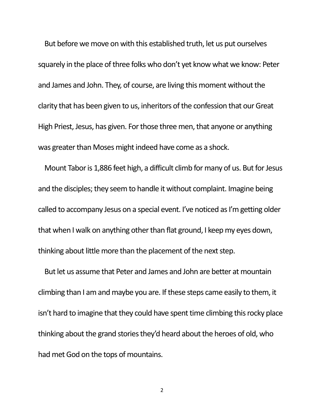But before we move on with this established truth, let us put ourselves squarely in the place of three folks who don't yet know what we know: Peter and James and John. They, of course, are living this moment without the clarity that has been given to us, inheritors of the confession that our Great High Priest, Jesus, has given. For those three men, that anyone or anything was greater than Moses might indeed have come as a shock.

Mount Tabor is 1,886 feet high, a difficult climb for many of us. But for Jesus and the disciples; they seem to handle it without complaint. Imagine being called to accompany Jesus on a special event. I've noticed as I'm getting older that when I walk on anything other than flat ground, I keep my eyes down, thinking about little more than the placement of the next step.

But let us assume that Peter and James and John are better at mountain climbing than I am and maybe you are. If these steps came easily to them, it isn't hard to imagine that they could have spent time climbing this rocky place thinking about the grand stories they'd heard about the heroes of old, who had met God on the tops of mountains.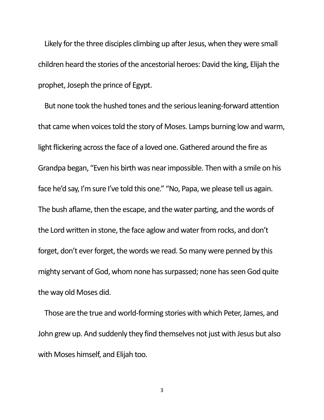Likely for the three disciples climbing up after Jesus, when they were small children heard the stories of the ancestorial heroes: David the king, Elijah the prophet, Joseph the prince of Egypt.

But none took the hushed tones and the serious leaning-forward attention that came when voices told the story of Moses. Lamps burning low and warm, light flickering across the face of a loved one. Gathered around the fire as Grandpa began, "Even his birth was nearimpossible. Then with a smile on his face he'd say, I'm sure I've told this one." "No, Papa, we please tell us again. The bush aflame, then the escape, and the water parting, and the words of the Lord written in stone, the face aglow and water from rocks, and don't forget, don't ever forget, the words we read. So many were penned by this mighty servant of God, whom none has surpassed; none has seen God quite the way old Moses did.

Those are the true and world-forming stories with which Peter, James, and John grew up. And suddenly they find themselves not just with Jesus but also with Moses himself, and Elijah too.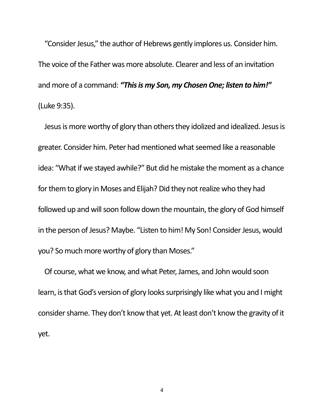"Consider Jesus," the author of Hebrews gently implores us. Consider him. The voice of the Father was more absolute. Clearer and less of an invitation and more of a command: *"This is my Son, my Chosen One; listen to him!"* (Luke 9:35).

Jesus is more worthy of glory than others they idolized and idealized. Jesus is greater. Consider him. Peter had mentioned what seemed like a reasonable idea: "What if we stayed awhile?" But did he mistake the moment as a chance for them to glory in Moses and Elijah? Did they not realize who they had followed up and will soon follow down the mountain, the glory of God himself in the person of Jesus? Maybe. "Listen to him! My Son! Consider Jesus, would you? So much more worthy of glory than Moses."

Of course, what we know, and what Peter, James, and John would soon learn, is that God's version of glory looks surprisingly like what you and I might consider shame. They don't know that yet. At least don't know the gravity of it yet.

4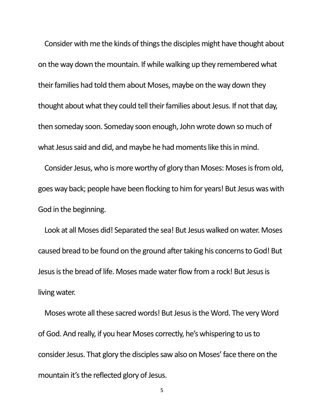Consider with me the kinds of things the disciples might have thought about on the way down the mountain. If while walking up they remembered what their families had told them about Moses, maybe on the way down they thought about what they could tell their families about Jesus. If not that day, then someday soon. Someday soon enough, John wrote down so much of what Jesus said and did, and maybe he had moments like this in mind.

Consider Jesus, who is more worthy of glory than Moses: Moses is from old, goes way back; people have been flocking to him for years! But Jesus was with God in the beginning.

Look at all Moses did! Separated the sea! But Jesus walked on water. Moses caused bread to be found on the ground after taking his concerns to God! But Jesus is the bread of life. Moses made water flow from a rock! But Jesus is living water.

Moses wrote all these sacred words! But Jesus is the Word. The very Word of God. And really, if you hear Moses correctly, he's whispering to usto consider Jesus. That glory the disciples saw also on Moses' face there on the mountain it's the reflected glory of Jesus.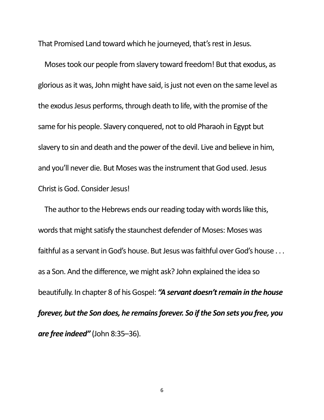That Promised Land toward which he journeyed, that's rest in Jesus.

Moses took our people from slavery toward freedom! But that exodus, as glorious as it was, John might have said, is just not even on the same level as the exodus Jesus performs, through death to life, with the promise of the same for his people. Slavery conquered, not to old Pharaoh in Egypt but slavery to sin and death and the power of the devil. Live and believe in him, and you'll never die. But Moses was the instrument that God used. Jesus Christ is God. Consider Jesus!

The author to the Hebrews ends our reading today with words like this, words that might satisfy the staunchest defender of Moses: Moses was faithful as a servant in God's house. But Jesus was faithful over God's house . . . as a Son. And the difference, we might ask? John explained the idea so beautifully. In chapter 8 of his Gospel: *"A servant doesn't remain in the house forever, but the Son does, he remains forever. So if the Son sets you free, you are free indeed"* (John 8:35–36).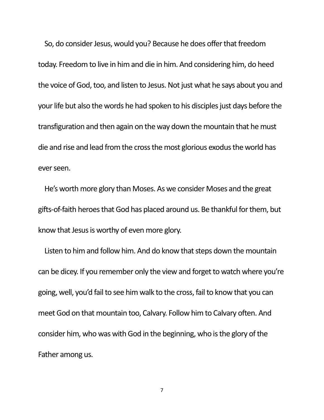So, do consider Jesus, would you? Because he does offer that freedom today. Freedom to live in him and die in him. And considering him, do heed the voice of God, too, and listen to Jesus. Not just what he says about you and your life but also the words he had spoken to his disciples just days before the transfiguration and then again on the way down the mountain that he must die and rise and lead from the cross the most glorious exodus the world has ever seen.

He's worth more glory than Moses. As we consider Moses and the great gifts-of-faith heroes that God has placed around us. Be thankful for them, but know that Jesus is worthy of even more glory.

Listen to him and follow him. And do know that steps down the mountain can be dicey. If you remember only the view and forget to watch where you're going, well, you'd fail to see him walk to the cross, fail to know that you can meet God on that mountain too, Calvary. Follow him to Calvary often. And consider him, who was with God in the beginning, who is the glory of the Father among us.